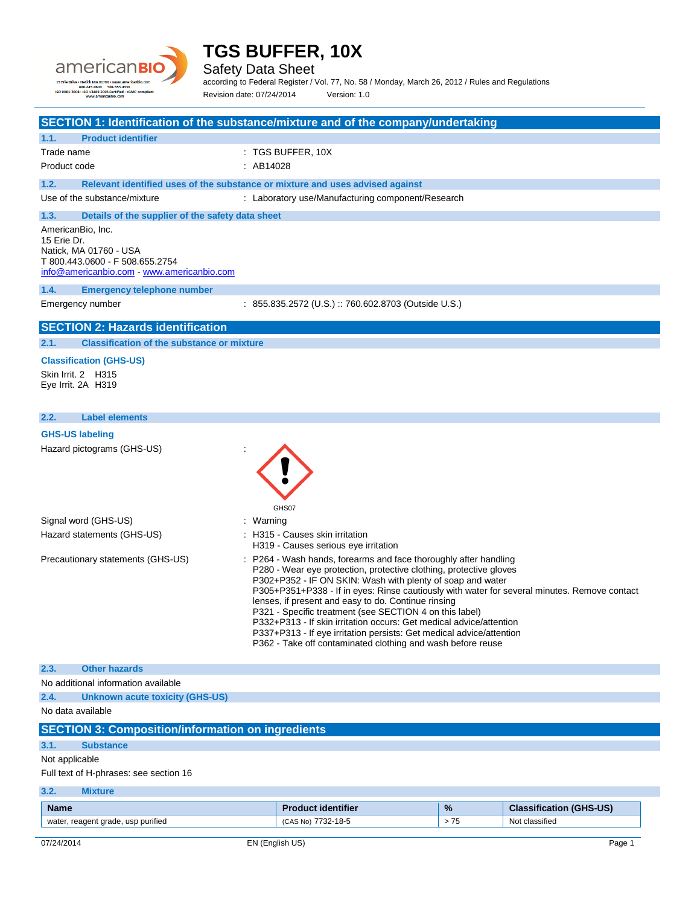# **TGS BUFFER, 10X** Safety Data Sheet according to Federal Register / Vol. 77, No. 58 / Monday, March 26, 2012 / Rules and Regulations 15 Erie D ISO 9001:2008 Revision date: 07/24/2014 Version: 1.0 **SECTION 1: Identification of the substance/mixture and of the company/undertaking 1.1. Product identifier** Trade name : TGS BUFFER, 10X Product code : AB14028 **1.2. Relevant identified uses of the substance or mixture and uses advised against** Use of the substance/mixture : Laboratory use/Manufacturing component/Research **1.3. Details of the supplier of the safety data sheet** AmericanBio, Inc. 15 Erie Dr. Natick, MA 01760 - USA T 800.443.0600 - F 508.655.2754 [info@americanbio.com](mailto:info@americanbio.com) - <www.americanbio.com> **1.4. Emergency telephone number** Emergency number : 855.835.2572 (U.S.) :: 760.602.8703 (Outside U.S.) **SECTION 2: Hazards identification 2.1. Classification of the substance or mixture Classification (GHS-US)** Skin Irrit. 2 H315 Eye Irrit. 2A H319 **2.2. Label elements GHS-US labeling** Hazard pictograms (GHS-US) : GHS<sub>07</sub> Signal word (GHS-US) **in the set of the Signal word (GHS-US)** and the set of the set of the set of the set of the set of the set of the set of the set of the set of the set of the set of the set of the set of the set of th Hazard statements (GHS-US) : H315 - Causes skin irritation H319 - Causes serious eye irritation Precautionary statements (GHS-US) : P264 - Wash hands, forearms and face thoroughly after handling P280 - Wear eye protection, protective clothing, protective gloves

#### **SECTION 3: Composition/information on ingredients**

#### **3.1. Substance**

No data available

**2.3. Other hazards**

No additional information available

**2.4. Unknown acute toxicity (GHS-US)**

#### Not applicable

Full text of H-phrases: see section 16

### **3.2. Mixture**

| <b>Name</b>                                          | dentifier<br>п.                   | %                | (GHS-US)<br><b>Classification</b>    |
|------------------------------------------------------|-----------------------------------|------------------|--------------------------------------|
| $\cdots$<br>wate<br>reagent grade, usp purified<br>◡ | 7700<br>$18-5$<br>√U. A<br>∙ ∠د . | <b>75</b><br>ن ، | $\sim$ $\sim$<br>Not<br>: classified |

P302+P352 - IF ON SKIN: Wash with plenty of soap and water

lenses, if present and easy to do. Continue rinsing P321 - Specific treatment (see SECTION 4 on this label) P332+P313 - If skin irritation occurs: Get medical advice/attention P337+P313 - If eye irritation persists: Get medical advice/attention P362 - Take off contaminated clothing and wash before reuse

P305+P351+P338 - If in eyes: Rinse cautiously with water for several minutes. Remove contact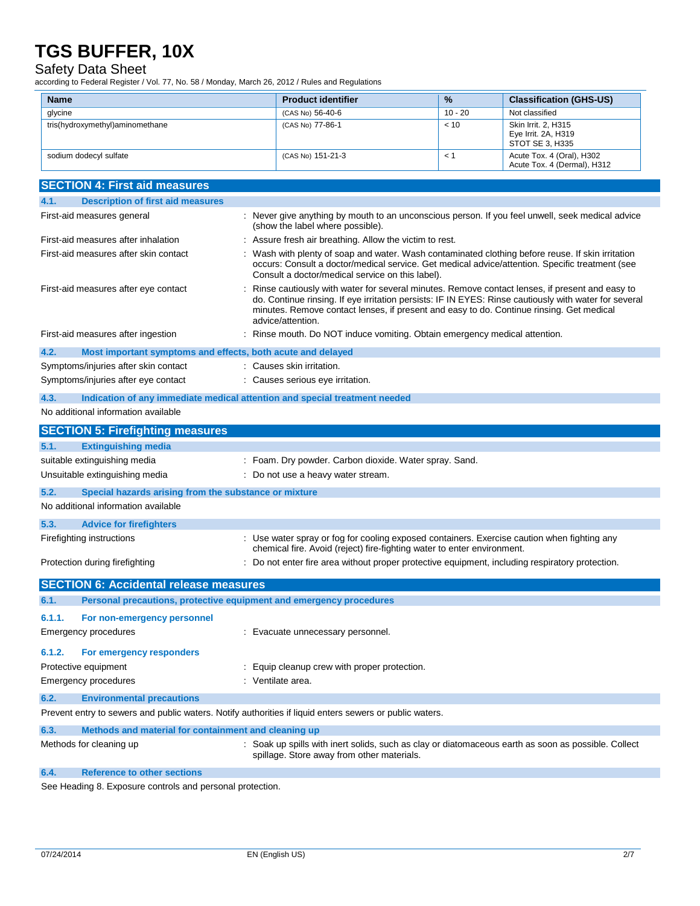### Safety Data Sheet

according to Federal Register / Vol. 77, No. 58 / Monday, March 26, 2012 / Rules and Regulations

| <b>Name</b>                             |                                                             | <b>Product identifier</b>                                                                                                                                                  | %         | <b>Classification (GHS-US)</b>                                                                                                                                                                          |
|-----------------------------------------|-------------------------------------------------------------|----------------------------------------------------------------------------------------------------------------------------------------------------------------------------|-----------|---------------------------------------------------------------------------------------------------------------------------------------------------------------------------------------------------------|
| glycine                                 |                                                             | (CAS No) 56-40-6                                                                                                                                                           | $10 - 20$ | Not classified                                                                                                                                                                                          |
| tris(hydroxymethyl)aminomethane         |                                                             | (CAS No) 77-86-1                                                                                                                                                           | < 10      | Skin Irrit. 2, H315<br>Eye Irrit. 2A, H319<br>STOT SE 3, H335                                                                                                                                           |
| sodium dodecyl sulfate                  |                                                             | (CAS No) 151-21-3                                                                                                                                                          | < 1       | Acute Tox. 4 (Oral), H302<br>Acute Tox. 4 (Dermal), H312                                                                                                                                                |
| <b>SECTION 4: First aid measures</b>    |                                                             |                                                                                                                                                                            |           |                                                                                                                                                                                                         |
| 4.1.                                    | <b>Description of first aid measures</b>                    |                                                                                                                                                                            |           |                                                                                                                                                                                                         |
| First-aid measures general              |                                                             | (show the label where possible).                                                                                                                                           |           | : Never give anything by mouth to an unconscious person. If you feel unwell, seek medical advice                                                                                                        |
| First-aid measures after inhalation     |                                                             | : Assure fresh air breathing. Allow the victim to rest.                                                                                                                    |           |                                                                                                                                                                                                         |
| First-aid measures after skin contact   |                                                             | Consult a doctor/medical service on this label).                                                                                                                           |           | : Wash with plenty of soap and water. Wash contaminated clothing before reuse. If skin irritation<br>occurs: Consult a doctor/medical service. Get medical advice/attention. Specific treatment (see    |
| First-aid measures after eye contact    |                                                             | minutes. Remove contact lenses, if present and easy to do. Continue rinsing. Get medical<br>advice/attention.                                                              |           | Rinse cautiously with water for several minutes. Remove contact lenses, if present and easy to<br>do. Continue rinsing. If eye irritation persists: IF IN EYES: Rinse cautiously with water for several |
| First-aid measures after ingestion      |                                                             | : Rinse mouth. Do NOT induce vomiting. Obtain emergency medical attention.                                                                                                 |           |                                                                                                                                                                                                         |
| 4.2.                                    | Most important symptoms and effects, both acute and delayed |                                                                                                                                                                            |           |                                                                                                                                                                                                         |
| Symptoms/injuries after skin contact    |                                                             | : Causes skin irritation.                                                                                                                                                  |           |                                                                                                                                                                                                         |
| Symptoms/injuries after eye contact     |                                                             | : Causes serious eye irritation.                                                                                                                                           |           |                                                                                                                                                                                                         |
| 4.3.                                    |                                                             | Indication of any immediate medical attention and special treatment needed                                                                                                 |           |                                                                                                                                                                                                         |
| No additional information available     |                                                             |                                                                                                                                                                            |           |                                                                                                                                                                                                         |
| <b>SECTION 5: Firefighting measures</b> |                                                             |                                                                                                                                                                            |           |                                                                                                                                                                                                         |
| 5.1.<br><b>Extinguishing media</b>      |                                                             |                                                                                                                                                                            |           |                                                                                                                                                                                                         |
| suitable extinguishing media            |                                                             | : Foam. Dry powder. Carbon dioxide. Water spray. Sand.                                                                                                                     |           |                                                                                                                                                                                                         |
| Unsuitable extinguishing media          |                                                             | : Do not use a heavy water stream.                                                                                                                                         |           |                                                                                                                                                                                                         |
| 5.2.                                    | Special hazards arising from the substance or mixture       |                                                                                                                                                                            |           |                                                                                                                                                                                                         |
| No additional information available     |                                                             |                                                                                                                                                                            |           |                                                                                                                                                                                                         |
| 5.3.<br><b>Advice for firefighters</b>  |                                                             |                                                                                                                                                                            |           |                                                                                                                                                                                                         |
| Firefighting instructions               |                                                             | : Use water spray or fog for cooling exposed containers. Exercise caution when fighting any                                                                                |           |                                                                                                                                                                                                         |
| Protection during firefighting          |                                                             | chemical fire. Avoid (reject) fire-fighting water to enter environment.<br>: Do not enter fire area without proper protective equipment, including respiratory protection. |           |                                                                                                                                                                                                         |
|                                         |                                                             |                                                                                                                                                                            |           |                                                                                                                                                                                                         |
|                                         | <b>SECTION 6: Accidental release measures</b>               |                                                                                                                                                                            |           |                                                                                                                                                                                                         |
| 6.1.                                    |                                                             | Personal precautions, protective equipment and emergency procedures                                                                                                        |           |                                                                                                                                                                                                         |
| 6.1.1.                                  | For non-emergency personnel                                 |                                                                                                                                                                            |           |                                                                                                                                                                                                         |
| Emergency procedures                    |                                                             | : Evacuate unnecessary personnel.                                                                                                                                          |           |                                                                                                                                                                                                         |
| 6.1.2.                                  | For emergency responders                                    |                                                                                                                                                                            |           |                                                                                                                                                                                                         |
| Protective equipment                    |                                                             | : Equip cleanup crew with proper protection.                                                                                                                               |           |                                                                                                                                                                                                         |
| Emergency procedures                    |                                                             | : Ventilate area.                                                                                                                                                          |           |                                                                                                                                                                                                         |
| 6.2.                                    | <b>Environmental precautions</b>                            |                                                                                                                                                                            |           |                                                                                                                                                                                                         |
|                                         |                                                             | Prevent entry to sewers and public waters. Notify authorities if liquid enters sewers or public waters.                                                                    |           |                                                                                                                                                                                                         |
| 6.3.                                    | Methods and material for containment and cleaning up        |                                                                                                                                                                            |           |                                                                                                                                                                                                         |
| Methods for cleaning up                 |                                                             | spillage. Store away from other materials.                                                                                                                                 |           | : Soak up spills with inert solids, such as clay or diatomaceous earth as soon as possible. Collect                                                                                                     |
| 6.4.                                    | <b>Reference to other sections</b>                          |                                                                                                                                                                            |           |                                                                                                                                                                                                         |

See Heading 8. Exposure controls and personal protection.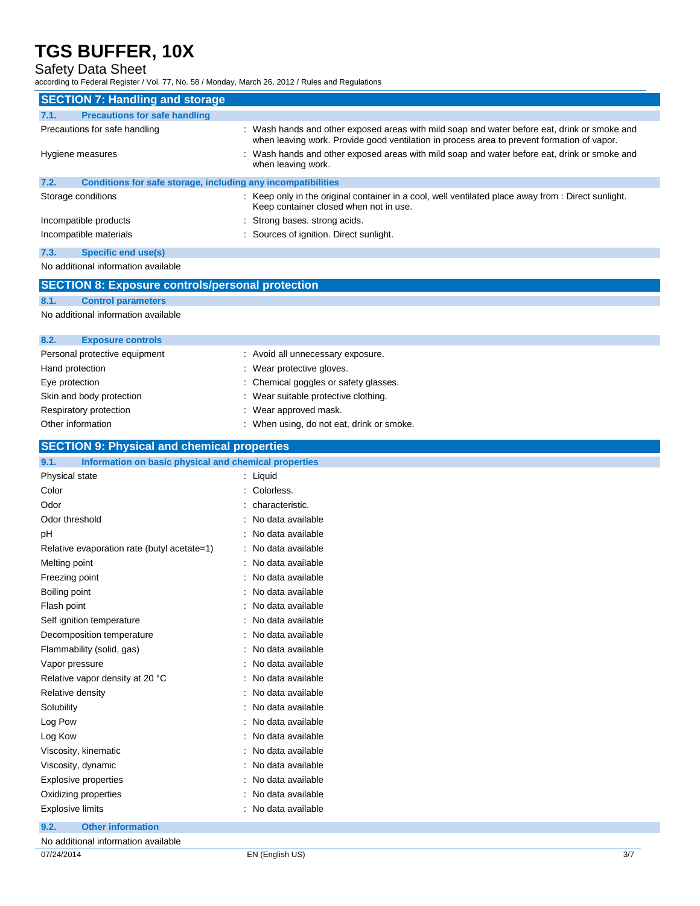## Safety Data Sheet

according to Federal Register / Vol. 77, No. 58 / Monday, March 26, 2012 / Rules and Regulations

| <b>SECTION 7: Handling and storage</b>                               |                                                                                                                                                                                            |
|----------------------------------------------------------------------|--------------------------------------------------------------------------------------------------------------------------------------------------------------------------------------------|
| <b>Precautions for safe handling</b><br>7.1.                         |                                                                                                                                                                                            |
| Precautions for safe handling                                        | : Wash hands and other exposed areas with mild soap and water before eat, drink or smoke and<br>when leaving work. Provide good ventilation in process area to prevent formation of vapor. |
| Hygiene measures                                                     | : Wash hands and other exposed areas with mild soap and water before eat, drink or smoke and<br>when leaving work.                                                                         |
| Conditions for safe storage, including any incompatibilities<br>7.2. |                                                                                                                                                                                            |
| Storage conditions                                                   | : Keep only in the original container in a cool, well ventilated place away from : Direct sunlight.<br>Keep container closed when not in use.                                              |
| Incompatible products                                                | : Strong bases, strong acids.                                                                                                                                                              |
| Incompatible materials                                               | : Sources of ignition. Direct sunlight.                                                                                                                                                    |
| 7.3.<br>Specific end use(s)                                          |                                                                                                                                                                                            |

No additional information available

#### **SECTION 8: Exposure controls/personal protection**

#### **8.1. Control parameters**

No additional information available

| 8.2.<br><b>Exposure controls</b> |                                           |
|----------------------------------|-------------------------------------------|
| Personal protective equipment    | : Avoid all unnecessary exposure.         |
| Hand protection                  | : Wear protective gloves.                 |
| Eye protection                   | : Chemical goggles or safety glasses.     |
| Skin and body protection         | : Wear suitable protective clothing.      |
| Respiratory protection           | : Wear approved mask.                     |
| Other information                | : When using, do not eat, drink or smoke. |

### **SECTION 9: Physical and chemical properties**

| 9.1.<br>Information on basic physical and chemical properties |                     |
|---------------------------------------------------------------|---------------------|
| Physical state                                                | : Liquid            |
| Color                                                         | : Colorless.        |
| Odor                                                          | : characteristic.   |
| Odor threshold                                                | : No data available |
| pH                                                            | : No data available |
| Relative evaporation rate (butyl acetate=1)                   | : No data available |
| Melting point                                                 | : No data available |
| Freezing point                                                | : No data available |
| Boiling point                                                 | : No data available |
| Flash point                                                   | : No data available |
| Self ignition temperature                                     | : No data available |
| Decomposition temperature                                     | : No data available |
| Flammability (solid, gas)                                     | : No data available |
| Vapor pressure                                                | : No data available |
| Relative vapor density at 20 °C                               | : No data available |
| Relative density                                              | : No data available |
| Solubility                                                    | : No data available |
| Log Pow                                                       | : No data available |
| Log Kow                                                       | : No data available |
| Viscosity, kinematic                                          | : No data available |
| Viscosity, dynamic                                            | : No data available |
| <b>Explosive properties</b>                                   | : No data available |
| Oxidizing properties                                          | : No data available |
| <b>Explosive limits</b>                                       | : No data available |
| 9.2.<br><b>Other information</b>                              |                     |

No additional information available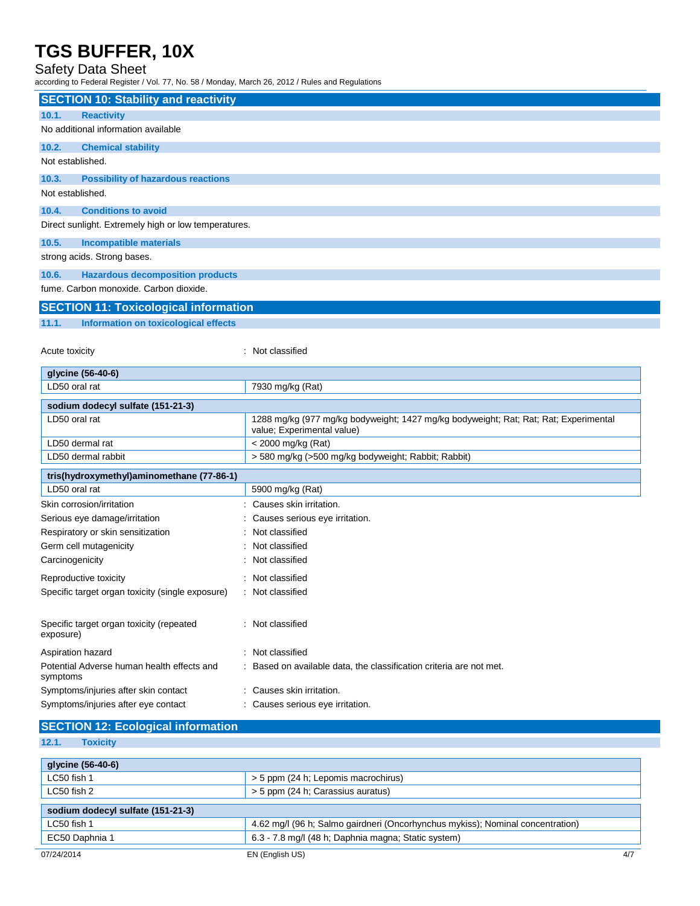### Safety Data Sheet

according to Federal Register / Vol. 77, No. 58 / Monday, March 26, 2012 / Rules and Regulations

| <b>SECTION 10: Stability and reactivity</b>            |                                                                                      |
|--------------------------------------------------------|--------------------------------------------------------------------------------------|
| <b>Reactivity</b><br>10.1.                             |                                                                                      |
| No additional information available                    |                                                                                      |
| 10.2.<br><b>Chemical stability</b>                     |                                                                                      |
| Not established.                                       |                                                                                      |
| 10.3.<br><b>Possibility of hazardous reactions</b>     |                                                                                      |
| Not established.                                       |                                                                                      |
| 10.4.<br><b>Conditions to avoid</b>                    |                                                                                      |
| Direct sunlight. Extremely high or low temperatures.   |                                                                                      |
| 10.5.<br><b>Incompatible materials</b>                 |                                                                                      |
| strong acids. Strong bases.                            |                                                                                      |
| <b>Hazardous decomposition products</b><br>10.6.       |                                                                                      |
| fume. Carbon monoxide. Carbon dioxide.                 |                                                                                      |
| <b>SECTION 11: Toxicological information</b>           |                                                                                      |
| 11.1.<br>Information on toxicological effects          |                                                                                      |
|                                                        |                                                                                      |
| Acute toxicity                                         | : Not classified                                                                     |
| glycine (56-40-6)                                      |                                                                                      |
| LD50 oral rat                                          | 7930 mg/kg (Rat)                                                                     |
| sodium dodecyl sulfate (151-21-3)                      |                                                                                      |
| LD50 oral rat                                          | 1288 mg/kg (977 mg/kg bodyweight; 1427 mg/kg bodyweight; Rat; Rat; Rat; Experimental |
| LD50 dermal rat                                        | value; Experimental value)<br>< 2000 mg/kg (Rat)                                     |
| LD50 dermal rabbit                                     | > 580 mg/kg (>500 mg/kg bodyweight; Rabbit; Rabbit)                                  |
| tris(hydroxymethyl)aminomethane (77-86-1)              |                                                                                      |
| LD50 oral rat                                          | 5900 mg/kg (Rat)                                                                     |
| Skin corrosion/irritation                              | : Causes skin irritation.                                                            |
| Serious eye damage/irritation                          | Causes serious eye irritation.                                                       |
| Respiratory or skin sensitization                      | : Not classified                                                                     |
| Germ cell mutagenicity                                 | : Not classified                                                                     |
| Carcinogenicity                                        | : Not classified                                                                     |
| Reproductive toxicity                                  | : Not classified                                                                     |
| Specific target organ toxicity (single exposure)       | : Not classified                                                                     |
| Specific target organ toxicity (repeated<br>exposure)  | : Not classified                                                                     |
| Aspiration hazard                                      | : Not classified                                                                     |
| Potential Adverse human health effects and<br>symptoms | : Based on available data, the classification criteria are not met.                  |
| Symptoms/injuries after skin contact                   | : Causes skin irritation.                                                            |
| Symptoms/injuries after eye contact                    | : Causes serious eye irritation.                                                     |
| <b>SECTION 12: Ecological information</b>              |                                                                                      |

# **12.1. Toxicity**

| glycine (56-40-6)                 |                                                                                |     |
|-----------------------------------|--------------------------------------------------------------------------------|-----|
| LC50 fish 1                       | > 5 ppm (24 h; Lepomis macrochirus)                                            |     |
| LC50 fish 2                       | > 5 ppm (24 h; Carassius auratus)                                              |     |
| sodium dodecyl sulfate (151-21-3) |                                                                                |     |
| LC50 fish 1                       | 4.62 mg/l (96 h; Salmo gairdneri (Oncorhynchus mykiss); Nominal concentration) |     |
| EC50 Daphnia 1                    | 6.3 - 7.8 mg/l (48 h; Daphnia magna; Static system)                            |     |
| 07/24/2014                        | EN (English US)                                                                | 4/7 |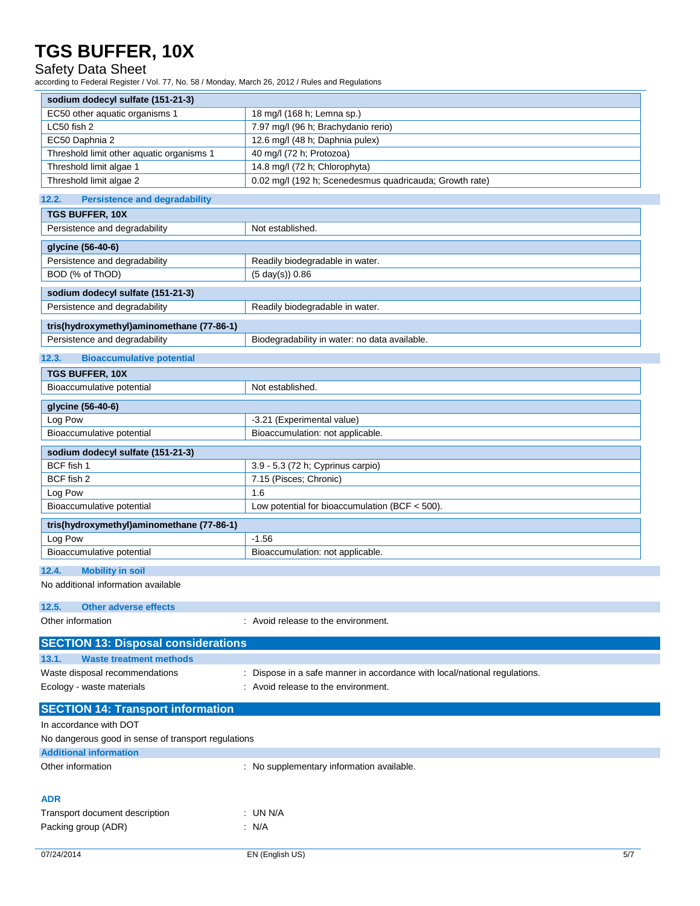# Safety Data Sheet

according to Federal Register / Vol. 77, No. 58 / Monday, March 26, 2012 / Rules and Regulations

| sodium dodecyl sulfate (151-21-3)         |                                                         |
|-------------------------------------------|---------------------------------------------------------|
| EC50 other aquatic organisms 1            | 18 mg/l (168 h; Lemna sp.)                              |
| LC50 fish 2                               | 7.97 mg/l (96 h; Brachydanio rerio)                     |
| EC50 Daphnia 2                            | 12.6 mg/l (48 h; Daphnia pulex)                         |
| Threshold limit other aquatic organisms 1 | 40 mg/l (72 h; Protozoa)                                |
| Threshold limit algae 1                   | 14.8 mg/l (72 h; Chlorophyta)                           |
| Threshold limit algae 2                   | 0.02 mg/l (192 h; Scenedesmus quadricauda; Growth rate) |
|                                           |                                                         |

#### **12.2. Persistence and degradability**

| <b>TURNER SHOW OF A THE MUNICIPALITY</b>            |                                                                         |
|-----------------------------------------------------|-------------------------------------------------------------------------|
| <b>TGS BUFFER, 10X</b>                              |                                                                         |
| Persistence and degradability                       | Not established.                                                        |
| glycine (56-40-6)                                   |                                                                         |
| Persistence and degradability                       | Readily biodegradable in water.                                         |
| BOD (% of ThOD)                                     | $(5 \text{ day}(s)) 0.86$                                               |
| sodium dodecyl sulfate (151-21-3)                   |                                                                         |
| Persistence and degradability                       | Readily biodegradable in water.                                         |
| tris(hydroxymethyl)aminomethane (77-86-1)           |                                                                         |
| Persistence and degradability                       | Biodegradability in water: no data available.                           |
| 12.3.<br><b>Bioaccumulative potential</b>           |                                                                         |
| TGS BUFFER, 10X                                     |                                                                         |
| Bioaccumulative potential                           | Not established.                                                        |
| glycine (56-40-6)                                   |                                                                         |
| Log Pow                                             | -3.21 (Experimental value)                                              |
| Bioaccumulative potential                           | Bioaccumulation: not applicable.                                        |
| sodium dodecyl sulfate (151-21-3)                   |                                                                         |
| BCF fish 1                                          | 3.9 - 5.3 (72 h; Cyprinus carpio)                                       |
| BCF fish 2                                          | 7.15 (Pisces; Chronic)                                                  |
| Log Pow                                             | 1.6                                                                     |
| Bioaccumulative potential                           | Low potential for bioaccumulation (BCF $<$ 500).                        |
| tris(hydroxymethyl)aminomethane (77-86-1)           |                                                                         |
| Log Pow                                             | $-1.56$                                                                 |
| Bioaccumulative potential                           | Bioaccumulation: not applicable.                                        |
| 12.4.<br><b>Mobility in soil</b>                    |                                                                         |
| No additional information available                 |                                                                         |
| 12.5.<br><b>Other adverse effects</b>               |                                                                         |
| Other information                                   | : Avoid release to the environment.                                     |
|                                                     |                                                                         |
| <b>SECTION 13: Disposal considerations</b>          |                                                                         |
| 13.1.<br><b>Waste treatment methods</b>             |                                                                         |
| Waste disposal recommendations                      | Dispose in a safe manner in accordance with local/national regulations. |
| Ecology - waste materials                           | : Avoid release to the environment.                                     |
| <b>SECTION 14: Transport information</b>            |                                                                         |
| In accordance with DOT                              |                                                                         |
| No dangerous good in sense of transport regulations |                                                                         |
| <b>Additional information</b>                       |                                                                         |
| Other information                                   | : No supplementary information available.                               |
|                                                     |                                                                         |
| ADR                                                 |                                                                         |
| Transport document description                      | : UN N/A                                                                |
| Packing group (ADR)                                 | $\therefore$ N/A                                                        |
|                                                     |                                                                         |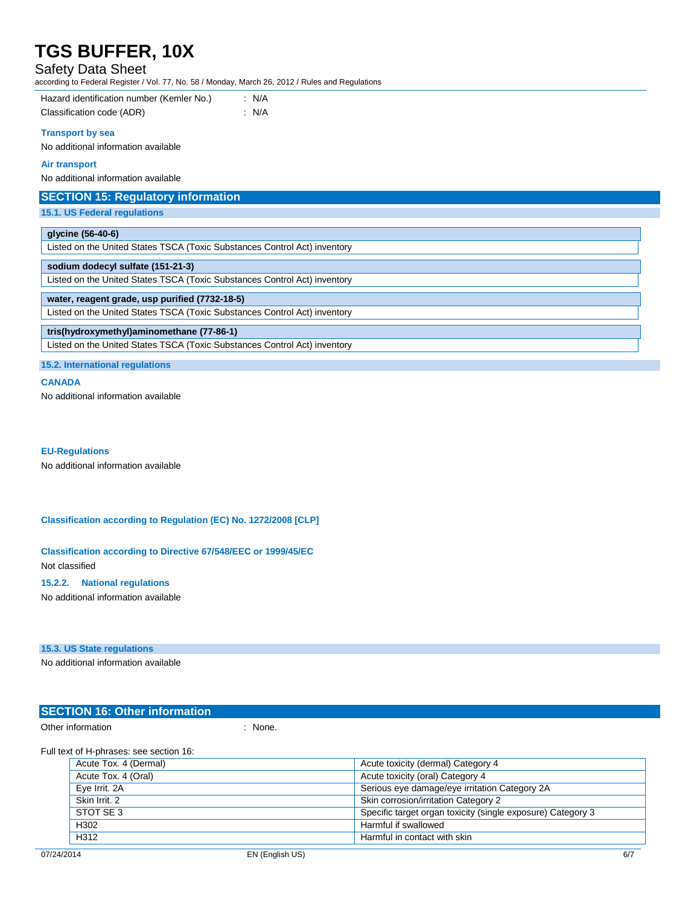## Safety Data Sheet

according to Federal Register / Vol. 77, No. 58 / Monday, March 26, 2012 / Rules and Regulations

#### **Transport by sea**

No additional information available

# **Air transport**

No additional information available

| <b>SECTION 15: Regulatory information</b>                                 |
|---------------------------------------------------------------------------|
| <b>15.1. US Federal regulations</b>                                       |
|                                                                           |
| glycine (56-40-6)                                                         |
| Listed on the United States TSCA (Toxic Substances Control Act) inventory |
| sodium dodecyl sulfate (151-21-3)                                         |
| Listed on the United States TSCA (Toxic Substances Control Act) inventory |
| water, reagent grade, usp purified (7732-18-5)                            |
| Listed on the United States TSCA (Toxic Substances Control Act) inventory |
| tris(hydroxymethyl)aminomethane (77-86-1)                                 |
| Listed on the United States TSCA (Toxic Substances Control Act) inventory |
|                                                                           |

**15.2. International regulations**

#### **CANADA**

No additional information available

#### **EU-Regulations**

No additional information available

#### **Classification according to Regulation (EC) No. 1272/2008 [CLP]**

**Classification according to Directive 67/548/EEC or 1999/45/EC** Not classified

#### **15.2.2. National regulations**

No additional information available

#### **15.3. US State regulations**

No additional information available

### **SECTION 16: Other information**

Other information in the contract of the contract of the contract of the contract of the contract of the contract of the contract of the contract of the contract of the contract of the contract of the contract of the contr

Full text of H-phrases: see section 16:

| Acute Tox. 4 (Dermal) | Acute toxicity (dermal) Category 4                          |
|-----------------------|-------------------------------------------------------------|
| Acute Tox. 4 (Oral)   | Acute toxicity (oral) Category 4                            |
| Eye Irrit. 2A         | Serious eye damage/eye irritation Category 2A               |
| Skin Irrit, 2         | Skin corrosion/irritation Category 2                        |
| STOT SE 3             | Specific target organ toxicity (single exposure) Category 3 |
| H302                  | Harmful if swallowed                                        |
| H312                  | Harmful in contact with skin                                |